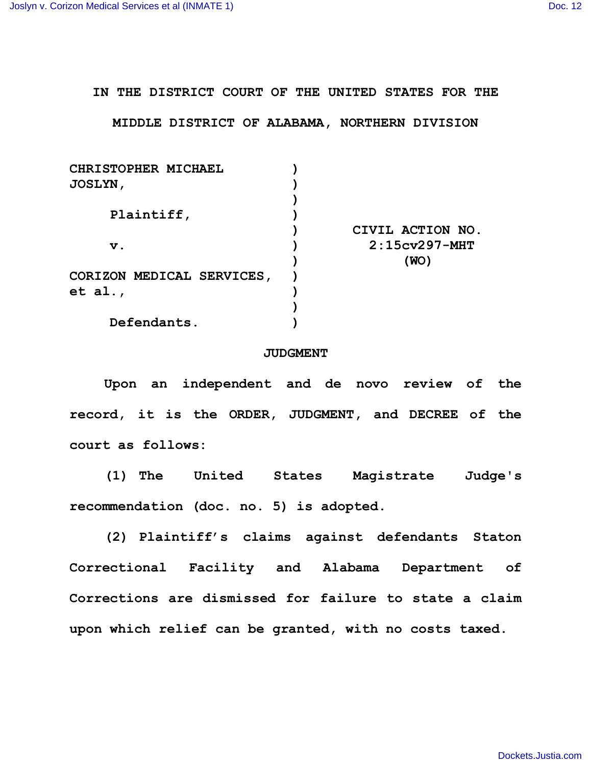**IN THE DISTRICT COURT OF THE UNITED STATES FOR THE**

**MIDDLE DISTRICT OF ALABAMA, NORTHERN DIVISION**

| CHRISTOPHER MICHAEL       |                  |
|---------------------------|------------------|
| <b>JOSLYN,</b>            |                  |
|                           |                  |
| Plaintiff,                |                  |
|                           | CIVIL ACTION NO. |
| $\mathbf v$ .             | $2:15cv297-MHT$  |
|                           | (WO)             |
| CORIZON MEDICAL SERVICES, |                  |
| et al.,                   |                  |
|                           |                  |
| Defendants.               |                  |

## **JUDGMENT**

**Upon an independent and de novo review of the record, it is the ORDER, JUDGMENT, and DECREE of the court as follows:**

**(1) The United States Magistrate Judge's recommendation (doc. no. 5) is adopted.**

**(2) Plaintiff's claims against defendants Staton Correctional Facility and Alabama Department of Corrections are dismissed for failure to state a claim upon which relief can be granted, with no costs taxed.**